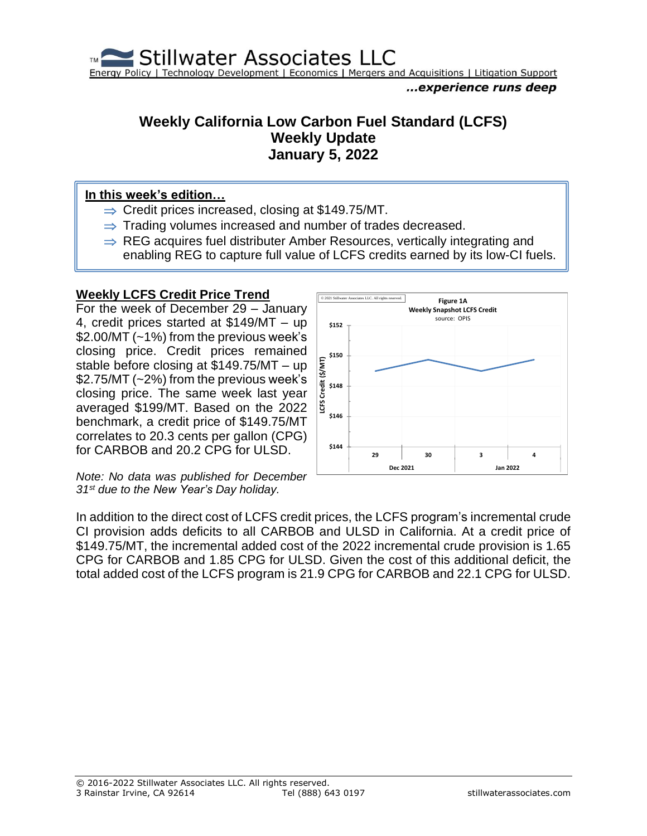

### **Weekly California Low Carbon Fuel Standard (LCFS) Weekly Update January 5, 2022**

#### **In this week's edition…**

- $\Rightarrow$  Credit prices increased, closing at \$149.75/MT.
- $\Rightarrow$  Trading volumes increased and number of trades decreased.
- $\Rightarrow$  REG acquires fuel distributer Amber Resources, vertically integrating and enabling REG to capture full value of LCFS credits earned by its low-CI fuels.

#### **Weekly LCFS Credit Price Trend**

For the week of December 29 – January 4, credit prices started at \$149/MT – up \$2.00/MT (~1%) from the previous week's closing price. Credit prices remained stable before closing at \$149.75/MT – up \$2.75/MT (~2%) from the previous week's closing price. The same week last year averaged \$199/MT. Based on the 2022 benchmark, a credit price of \$149.75/MT correlates to 20.3 cents per gallon (CPG) for CARBOB and 20.2 CPG for ULSD.

*Note: No data was published for December 31st due to the New Year's Day holiday.*



In addition to the direct cost of LCFS credit prices, the LCFS program's incremental crude CI provision adds deficits to all CARBOB and ULSD in California. At a credit price of \$149.75/MT, the incremental added cost of the 2022 incremental crude provision is 1.65 CPG for CARBOB and 1.85 CPG for ULSD. Given the cost of this additional deficit, the total added cost of the LCFS program is 21.9 CPG for CARBOB and 22.1 CPG for ULSD.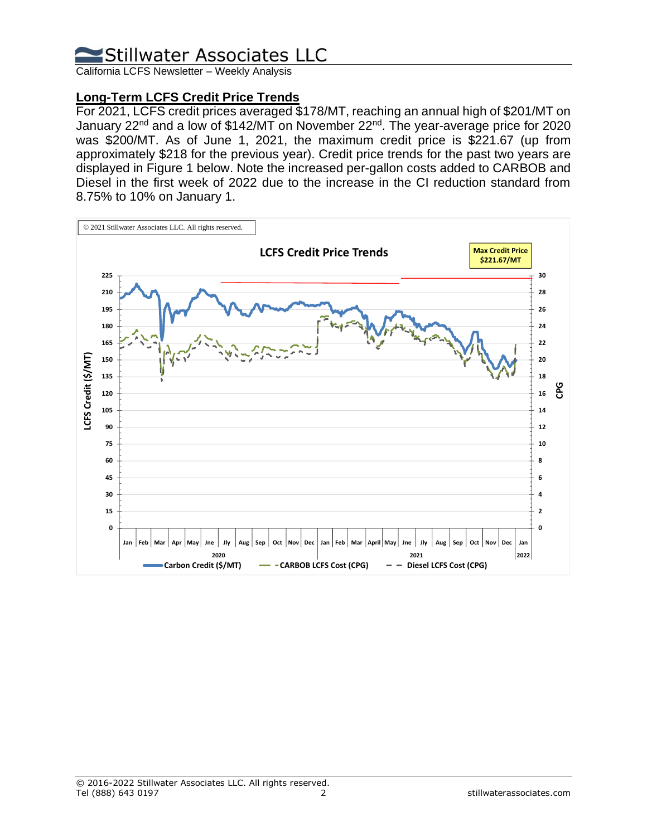California LCFS Newsletter – Weekly Analysis

### **Long-Term LCFS Credit Price Trends**

For 2021, LCFS credit prices averaged \$178/MT, reaching an annual high of \$201/MT on January 22<sup>nd</sup> and a low of \$142/MT on November 22<sup>nd</sup>. The year-average price for 2020 was \$200/MT. As of June 1, 2021, the maximum credit price is \$221.67 (up from approximately \$218 for the previous year). Credit price trends for the past two years are displayed in Figure 1 below. Note the increased per-gallon costs added to CARBOB and Diesel in the first week of 2022 due to the increase in the CI reduction standard from 8.75% to 10% on January 1.

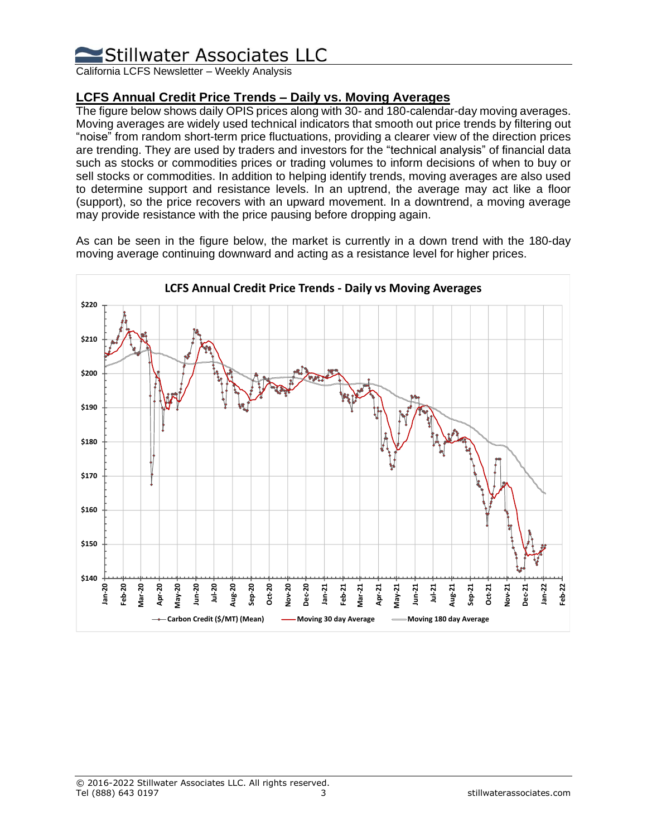California LCFS Newsletter – Weekly Analysis

### **LCFS Annual Credit Price Trends – Daily vs. Moving Averages**

The figure below shows daily OPIS prices along with 30- and 180-calendar-day moving averages. Moving averages are widely used technical indicators that smooth out price trends by filtering out "noise" from random short-term price fluctuations, providing a clearer view of the direction prices are trending. They are used by traders and investors for the "technical analysis" of financial data such as stocks or commodities prices or trading volumes to inform decisions of when to buy or sell stocks or commodities. In addition to helping identify trends, moving averages are also used to determine support and resistance levels. In an uptrend, the average may act like a floor (support), so the price recovers with an upward movement. In a downtrend, a moving average may provide resistance with the price pausing before dropping again.

As can be seen in the figure below, the market is currently in a down trend with the 180-day moving average continuing downward and acting as a resistance level for higher prices.

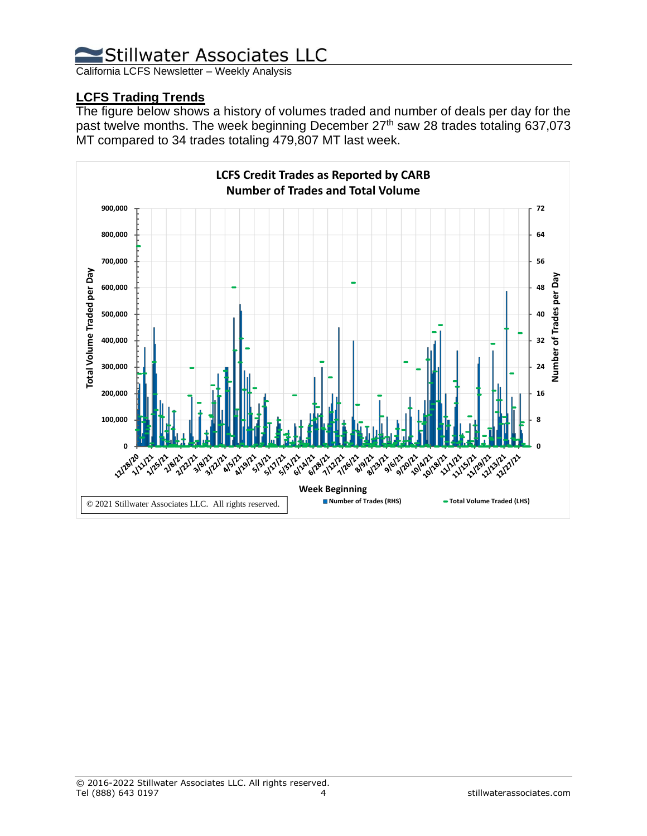California LCFS Newsletter – Weekly Analysis

### **LCFS Trading Trends**

The figure below shows a history of volumes traded and number of deals per day for the past twelve months. The week beginning December 27<sup>th</sup> saw 28 trades totaling 637,073 MT compared to 34 trades totaling 479,807 MT last week.

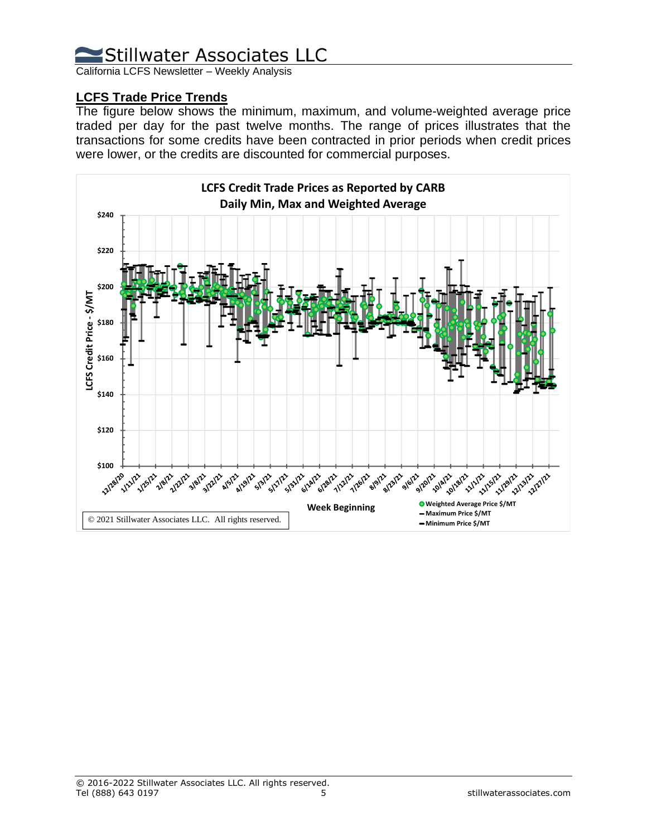California LCFS Newsletter – Weekly Analysis

### **LCFS Trade Price Trends**

The figure below shows the minimum, maximum, and volume-weighted average price traded per day for the past twelve months. The range of prices illustrates that the transactions for some credits have been contracted in prior periods when credit prices were lower, or the credits are discounted for commercial purposes.